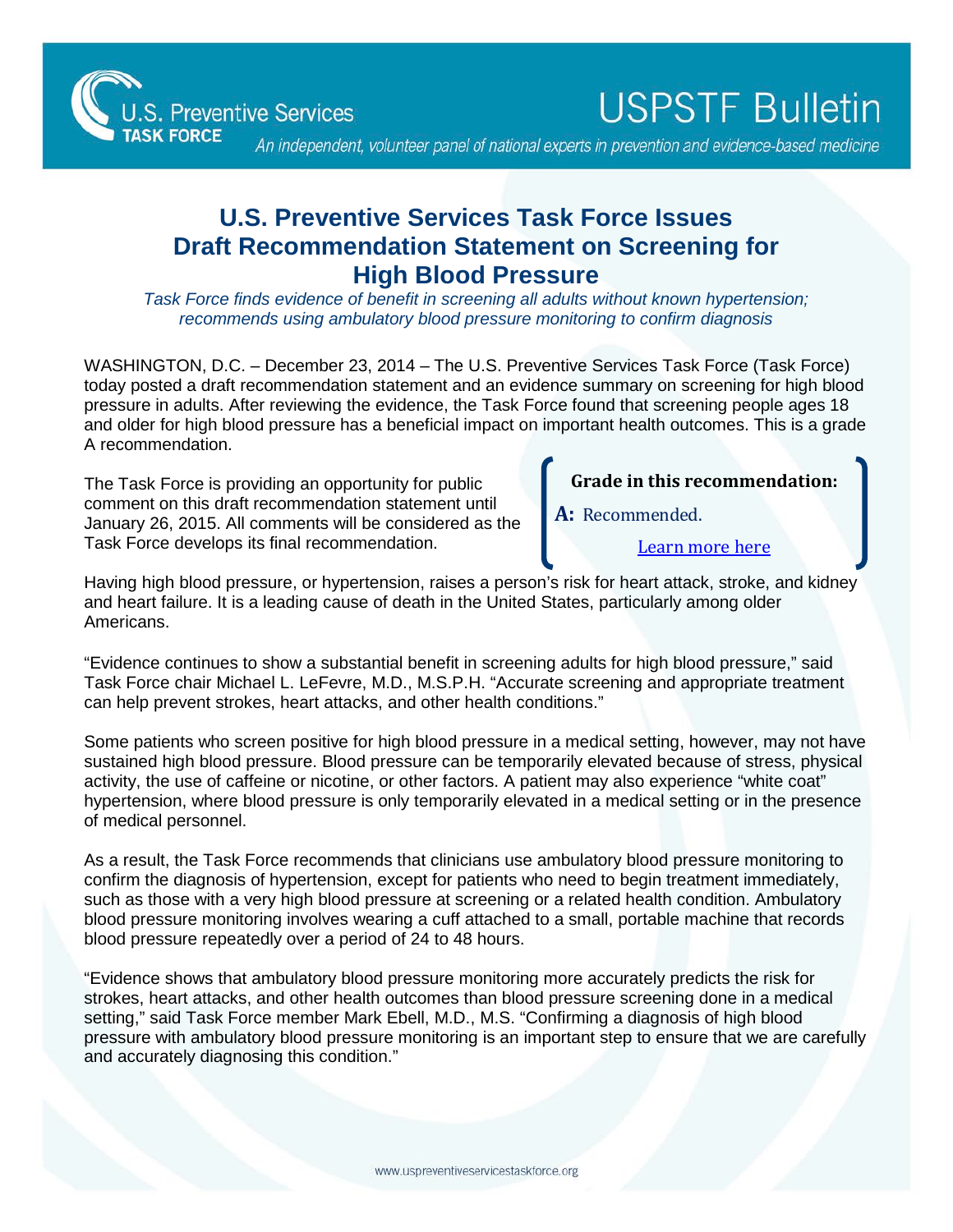

**USPSTF Bulletin** 

An independent, volunteer panel of national experts in prevention and evidence-based medicine

## **U.S. Preventive Services Task Force Issues Draft Recommendation Statement on Screening for High Blood Pressure**

*Task Force finds evidence of benefit in screening all adults without known hypertension; recommends using ambulatory blood pressure monitoring to confirm diagnosis*

WASHINGTON, D.C. – December 23, 2014 – The U.S. Preventive Services Task Force (Task Force) today posted a draft recommendation statement and an evidence summary on screening for high blood pressure in adults. After reviewing the evidence, the Task Force found that screening people ages 18 and older for high blood pressure has a beneficial impact on important health outcomes. This is a grade A recommendation.

The Task Force is providing an opportunity for public comment on this draft recommendation statement until January 26, 2015. All comments will be considered as the Task Force develops its final recommendation.

## **Grade in this recommendation:**

**A:** Recommended.

[Learn more here](http://www.uspreventiveservicestaskforce.org/Page/Name/grade-definitions)

Having high blood pressure, or hypertension, raises a person's risk for heart attack, stroke, and kidney and heart failure. It is a leading cause of death in the United States, particularly among older Americans.

"Evidence continues to show a substantial benefit in screening adults for high blood pressure," said Task Force chair Michael L. LeFevre, M.D., M.S.P.H. "Accurate screening and appropriate treatment can help prevent strokes, heart attacks, and other health conditions."

Some patients who screen positive for high blood pressure in a medical setting, however, may not have sustained high blood pressure. Blood pressure can be temporarily elevated because of stress, physical activity, the use of caffeine or nicotine, or other factors. A patient may also experience "white coat" hypertension, where blood pressure is only temporarily elevated in a medical setting or in the presence of medical personnel.

As a result, the Task Force recommends that clinicians use ambulatory blood pressure monitoring to confirm the diagnosis of hypertension, except for patients who need to begin treatment immediately, such as those with a very high blood pressure at screening or a related health condition. Ambulatory blood pressure monitoring involves wearing a cuff attached to a small, portable machine that records blood pressure repeatedly over a period of 24 to 48 hours.

"Evidence shows that ambulatory blood pressure monitoring more accurately predicts the risk for strokes, heart attacks, and other health outcomes than blood pressure screening done in a medical setting," said Task Force member Mark Ebell, M.D., M.S. "Confirming a diagnosis of high blood pressure with ambulatory blood pressure monitoring is an important step to ensure that we are carefully and accurately diagnosing this condition."